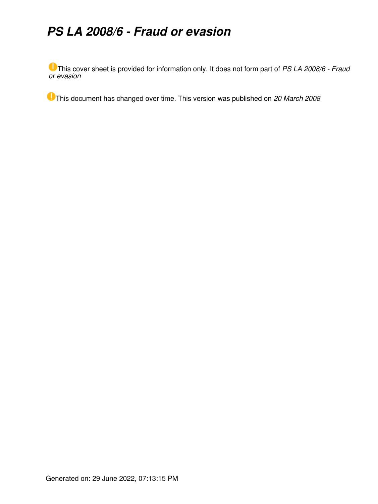# *PS LA 2008/6 - Fraud or evasion*

This cover sheet is provided for information only. It does not form part of *PS LA 2008/6 - Fraud or evasion*

This document has changed over time. This version was published on *20 March 2008*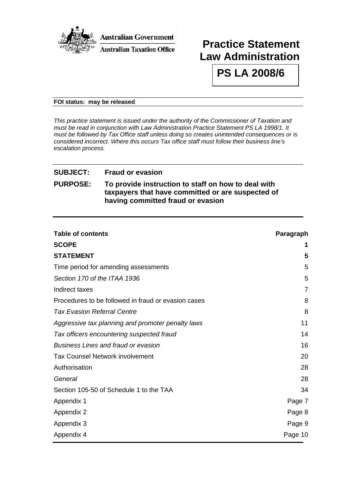

## **Practice Statement Law Administration**

**PS LA 2008/6** 

#### **FOI status: may be released**

*This practice statement is issued under the authority of the Commissioner of Taxation and must be read in conjunction with Law Administration Practice Statement PS LA 1998/1. It must be followed by Tax Office staff unless doing so creates unintended consequences or is considered incorrect. Where this occurs Tax office staff must follow their business line's escalation process.*

## **SUBJECT: Fraud or evasion**

## **PURPOSE: To provide instruction to staff on how to deal with taxpayers that have committed or are suspected of having committed fraud or evasion**

| <b>Table of contents</b>                            | Paragraph      |
|-----------------------------------------------------|----------------|
| <b>SCOPE</b>                                        | 1              |
| <b>STATEMENT</b>                                    | 5              |
| Time period for amending assessments                | 5              |
| Section 170 of the ITAA 1936                        | 5              |
| Indirect taxes                                      | $\overline{7}$ |
| Procedures to be followed in fraud or evasion cases | 8              |
| <b>Tax Evasion Referral Centre</b>                  | 8              |
| Aggressive tax planning and promoter penalty laws   | 11             |
| Tax officers encountering suspected fraud           | 14             |
| <b>Business Lines and fraud or evasion</b>          | 16             |
| <b>Tax Counsel Network involvement</b>              | 20             |
| Authorisation                                       | 28             |
| General                                             | 28             |
| Section 105-50 of Schedule 1 to the TAA             | 34             |
| Appendix 1                                          | Page 7         |
| Appendix 2                                          | Page 8         |
| Appendix 3                                          | Page 9         |
| Appendix 4                                          | Page 10        |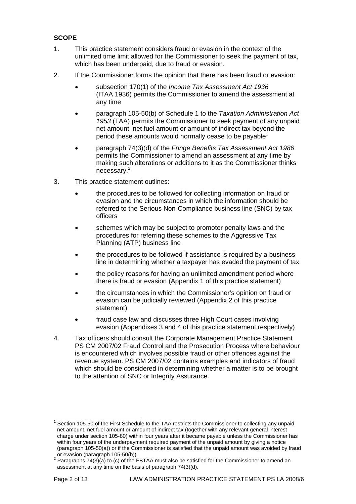## **SCOPE**

- 1. This practice statement considers fraud or evasion in the context of the unlimited time limit allowed for the Commissioner to seek the payment of tax, which has been underpaid, due to fraud or evasion.
- 2. If the Commissioner forms the opinion that there has been fraud or evasion:
	- subsection 170(1) of the *Income Tax Assessment Act 1936* (ITAA 1936) permits the Commissioner to amend the assessment at any time
	- paragraph 105-50(b) of Schedule 1 to the *Taxation Administration Act 1953* (TAA) permits the Commissioner to seek payment of any unpaid net amount, net fuel amount or amount of indirect tax beyond the period these amounts would normally cease to be payable<sup>[1](#page-2-0)</sup>
	- paragraph 74(3)(d) of the *Fringe Benefits Tax Assessment Act 1986* permits the Commissioner to amend an assessment at any time by making such alterations or additions to it as the Commissioner thinks necessary.[2](#page-2-1)
- 3. This practice statement outlines:
	- the procedures to be followed for collecting information on fraud or evasion and the circumstances in which the information should be referred to the Serious Non-Compliance business line (SNC) by tax officers
	- schemes which may be subject to promoter penalty laws and the procedures for referring these schemes to the Aggressive Tax Planning (ATP) business line
	- the procedures to be followed if assistance is required by a business line in determining whether a taxpayer has evaded the payment of tax
	- the policy reasons for having an unlimited amendment period where there is fraud or evasion (Appendix 1 of this practice statement)
	- the circumstances in which the Commissioner's opinion on fraud or evasion can be judicially reviewed (Appendix 2 of this practice statement)
	- fraud case law and discusses three High Court cases involving evasion (Appendixes 3 and 4 of this practice statement respectively)
- 4. Tax officers should consult the Corporate Management Practice Statement PS CM 2007/02 Fraud Control and the Prosecution Process where behaviour is encountered which involves possible fraud or other offences against the revenue system. PS CM 2007/02 contains examples and indicators of fraud which should be considered in determining whether a matter is to be brought to the attention of SNC or Integrity Assurance.

 $\overline{a}$ 

<span id="page-2-0"></span><sup>1</sup> Section 105-50 of the First Schedule to the TAA restricts the Commissioner to collecting any unpaid net amount, net fuel amount or amount of indirect tax (together with any relevant general interest charge under section 105-80) within four years after it became payable unless the Commissioner has within four years of the underpayment required payment of the unpaid amount by giving a notice (paragraph 105-50(a)) or if the Commissioner is satisfied that the unpaid amount was avoided by fraud or evasion (paragraph 105-50(b)).

<span id="page-2-1"></span><sup>&</sup>lt;sup>2</sup> Paragraphs 74(3)(a) to (c) of the FBTAA must also be satisfied for the Commissioner to amend an assessment at any time on the basis of paragraph 74(3)(d).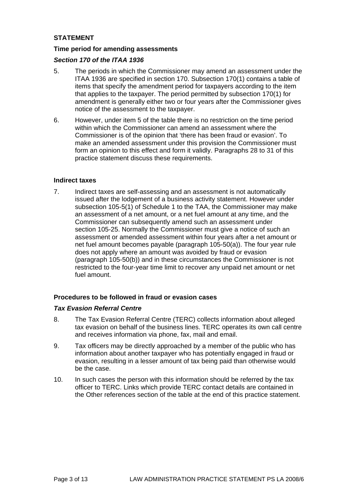## **STATEMENT**

#### **Time period for amending assessments**

#### *Section 170 of the ITAA 1936*

- 5. The periods in which the Commissioner may amend an assessment under the ITAA 1936 are specified in section 170. Subsection 170(1) contains a table of items that specify the amendment period for taxpayers according to the item that applies to the taxpayer. The period permitted by subsection 170(1) for amendment is generally either two or four years after the Commissioner gives notice of the assessment to the taxpayer.
- 6. However, under item 5 of the table there is no restriction on the time period within which the Commissioner can amend an assessment where the Commissioner is of the opinion that 'there has been fraud or evasion'. To make an amended assessment under this provision the Commissioner must form an opinion to this effect and form it validly. Paragraphs 28 to 31 of this practice statement discuss these requirements.

#### **Indirect taxes**

7. Indirect taxes are self-assessing and an assessment is not automatically issued after the lodgement of a business activity statement. However under subsection 105-5(1) of Schedule 1 to the TAA, the Commissioner may make an assessment of a net amount, or a net fuel amount at any time, and the Commissioner can subsequently amend such an assessment under section 105-25. Normally the Commissioner must give a notice of such an assessment or amended assessment within four years after a net amount or net fuel amount becomes payable (paragraph 105-50(a)). The four year rule does not apply where an amount was avoided by fraud or evasion (paragraph 105-50(b)) and in these circumstances the Commissioner is not restricted to the four-year time limit to recover any unpaid net amount or net fuel amount.

#### **Procedures to be followed in fraud or evasion cases**

#### *Tax Evasion Referral Centre*

- 8. The Tax Evasion Referral Centre (TERC) collects information about alleged tax evasion on behalf of the business lines. TERC operates its own call centre and receives information via phone, fax, mail and email.
- 9. Tax officers may be directly approached by a member of the public who has information about another taxpayer who has potentially engaged in fraud or evasion, resulting in a lesser amount of tax being paid than otherwise would be the case.
- 10. In such cases the person with this information should be referred by the tax officer to TERC. Links which provide TERC contact details are contained in the Other references section of the table at the end of this practice statement.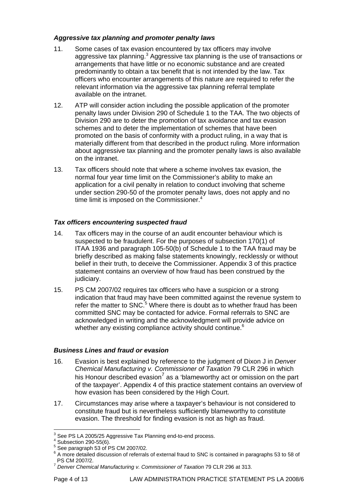## *Aggressive tax planning and promoter penalty laws*

- 11. Some cases of tax evasion encountered by tax officers may involve aggressive tax planning.<sup>[3](#page-4-0)</sup> Aggressive tax planning is the use of transactions or arrangements that have little or no economic substance and are created predominantly to obtain a tax benefit that is not intended by the law. Tax officers who encounter arrangements of this nature are required to refer the relevant information via the aggressive tax planning [referral template](http://intranet/downloads/c/csc_86190_atp_aggressive_tax_planning_referra_template.oft) available on the intranet.
- 12. ATP will consider action including the possible application of the promoter penalty laws under Division 290 of Schedule 1 to the TAA. The two objects of Division 290 are to deter the promotion of tax avoidance and tax evasion schemes and to deter the implementation of schemes that have been promoted on the basis of conformity with a product ruling, in a way that is materially different from that described in the product ruling. More information about aggressive tax planning and the promoter penalty laws is also available on the intranet.
- 13. Tax officers should note that where a scheme involves tax evasion, the normal four year time limit on the Commissioner's ability to make an application for a civil penalty in relation to conduct involving that scheme under section 290-50 of the promoter penalty laws, does not apply and no time limit is imposed on the Commissioner.<sup>[4](#page-4-1)</sup>

## *Tax officers encountering suspected fraud*

- 14. Tax officers may in the course of an audit encounter behaviour which is suspected to be fraudulent. For the purposes of subsection 170(1) of ITAA 1936 and paragraph 105-50(b) of Schedule 1 to the TAA fraud may be briefly described as making false statements knowingly, recklessly or without belief in their truth, to deceive the Commissioner. Appendix 3 of this practice statement contains an overview of how fraud has been construed by the judiciary.
- 15. PS CM 2007/02 requires tax officers who have a suspicion or a strong indication that fraud may have been committed against the revenue system to refer the matter to SNC.<sup>[5](#page-4-2)</sup> Where there is doubt as to whether fraud has been committed SNC may be contacted for advice. Formal referrals to SNC are acknowledged in writing and the acknowledgment will provide advice on whether any existing compliance activity should continue.<sup>6</sup>

#### *Business Lines and fraud or evasion*

- 16. Evasion is best explained by reference to the judgment of Dixon J in *Denver Chemical Manufacturing v. Commissioner of Taxation* 79 CLR 296 in which his Honour described evasion<sup>[7](#page-4-4)</sup> as a 'blameworthy act or omission on the part of the taxpayer'. Appendix 4 of this practice statement contains an overview of how evasion has been considered by the High Court.
- 17. Circumstances may arise where a taxpayer's behaviour is not considered to constitute fraud but is nevertheless sufficiently blameworthy to constitute evasion. The threshold for finding evasion is not as high as fraud.

 3 See PS LA 2005/25 Aggressive Tax Planning end-to-end process.

<span id="page-4-1"></span><span id="page-4-0"></span> $4$  Subsection 290-55(6).

<span id="page-4-2"></span><sup>5</sup> See paragraph 53 of PS CM 2007/02.

<span id="page-4-3"></span><sup>&</sup>lt;sup>6</sup> A more detailed discussion of referrals of external fraud to SNC is contained in paragraphs 53 to 58 of PS CM 2007/2.

<span id="page-4-4"></span><sup>7</sup> *Denver Chemical Manufacturing v. Commissioner of Taxation* 79 CLR 296 at 313.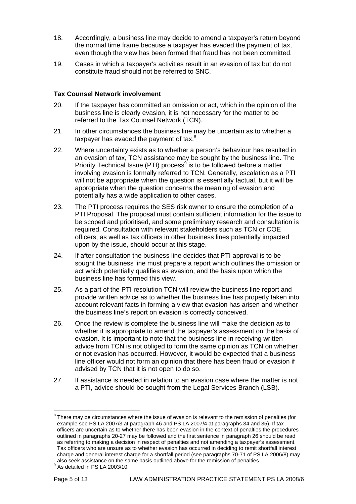- 18. Accordingly, a business line may decide to amend a taxpayer's return beyond the normal time frame because a taxpayer has evaded the payment of tax, even though the view has been formed that fraud has not been committed.
- 19. Cases in which a taxpayer's activities result in an evasion of tax but do not constitute fraud should not be referred to SNC.

#### **Tax Counsel Network involvement**

- 20. If the taxpayer has committed an omission or act, which in the opinion of the business line is clearly evasion, it is not necessary for the matter to be referred to the Tax Counsel Network (TCN).
- 21. In other circumstances the business line may be uncertain as to whether a taxpayer has evaded the payment of tax. $8<sup>8</sup>$
- 22. Where uncertainty exists as to whether a person's behaviour has resulted in an evasion of tax, TCN assistance may be sought by the business line. The Priority Technical Issue (PTI) process<sup>[9](#page-5-1)</sup> is to be followed before a matter involving evasion is formally referred to TCN. Generally, escalation as a PTI will not be appropriate when the question is essentially factual, but it will be appropriate when the question concerns the meaning of evasion and potentially has a wide application to other cases.
- 23. The PTI process requires the SES risk owner to ensure the completion of a PTI Proposal. The proposal must contain sufficient information for the issue to be scoped and prioritised, and some preliminary research and consultation is required. Consultation with relevant stakeholders such as TCN or COE officers, as well as tax officers in other business lines potentially impacted upon by the issue, should occur at this stage.
- 24. If after consultation the business line decides that PTI approval is to be sought the business line must prepare a report which outlines the omission or act which potentially qualifies as evasion, and the basis upon which the business line has formed this view.
- 25. As a part of the PTI resolution TCN will review the business line report and provide written advice as to whether the business line has properly taken into account relevant facts in forming a view that evasion has arisen and whether the business line's report on evasion is correctly conceived.
- 26. Once the review is complete the business line will make the decision as to whether it is appropriate to amend the taxpayer's assessment on the basis of evasion. It is important to note that the business line in receiving written advice from TCN is not obliged to form the same opinion as TCN on whether or not evasion has occurred. However, it would be expected that a business line officer would not form an opinion that there has been fraud or evasion if advised by TCN that it is not open to do so.
- 27. If assistance is needed in relation to an evasion case where the matter is not a PTI, advice should be sought from the Legal Services Branch (LSB).

<span id="page-5-0"></span> $\overline{a}$  $8$  There may be circumstances where the issue of evasion is relevant to the remission of penalties (for example see PS LA 2007/3 at paragraph 46 and PS LA 2007/4 at paragraphs 34 and 35). If tax officers are uncertain as to whether there has been evasion in the context of penalties the procedures outlined in paragraphs 20-27 may be followed and the first sentence in paragraph 26 should be read as referring to making a decision in respect of penalties and not amending a taxpayer's assessment. Tax officers who are unsure as to whether evasion has occurred in deciding to remit shortfall interest charge and general interest charge for a shortfall period (see paragraphs 70-71 of PS LA 2006/8) may also seek assistance on the same basis outlined above for the remission of penalties.<br><sup>9</sup> As detailed in PS LA 2003/10.

<span id="page-5-1"></span>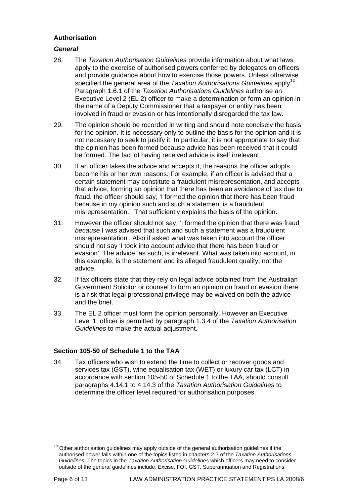## **Authorisation**

## *General*

- 28. The *Taxation Authorisation Guidelines* provide information about what laws apply to the exercise of authorised powers conferred by delegates on officers and provide guidance about how to exercise those powers. Unless otherwise specified the general area of the *Taxation Authorisations Guidelines* apply<sup>10</sup>. Paragraph 1.6.1 of the *Taxation Authorisations Guidelines* authorise an Executive Level 2 (EL 2) officer to make a determination or form an opinion in the name of a Deputy Commissioner that a taxpayer or entity has been involved in fraud or evasion or has intentionally disregarded the tax law.
- 29. The opinion should be recorded in writing and should note concisely the basis for the opinion. It is necessary only to outline the basis for the opinion and it is not necessary to seek to justify it. In particular, it is not appropriate to say that the opinion has been formed because advice has been received that it could be formed. The fact of having received advice is itself irrelevant.
- 30. If an officer takes the advice and accepts it, the reasons the officer adopts become his or her own reasons. For example, if an officer is advised that a certain statement may constitute a fraudulent misrepresentation, and accepts that advice, forming an opinion that there has been an avoidance of tax due to fraud, the officer should say, 'I formed the opinion that there has been fraud because in my opinion such and such a statement is a fraudulent misrepresentation.' That sufficiently explains the basis of the opinion.
- 31. However the officer should not say, 'I formed the opinion that there was fraud *because* I was advised that such and such a statement was a fraudulent misrepresentation'. Also if asked what was taken into account the officer should not say 'I took into account advice that there has been fraud or evasion'. The advice, as such, is irrelevant. What was taken into account, in this example, is the statement and its alleged fraudulent quality, not the advice.
- 32. If tax officers state that they rely on legal advice obtained from the Australian Government Solicitor or counsel to form an opinion on fraud or evasion there is a risk that legal professional privilege may be waived on both the advice and the brief.
- 33. The EL 2 officer must form the opinion personally. However an Executive Level 1 officer is permitted by paragraph 1.3.4 of the *Taxation Authorisation Guidelines* to make the actual adjustment.

## **Section 105-50 of Schedule 1 to the TAA**

34. Tax officers who wish to extend the time to collect or recover goods and services tax (GST), wine equalisation tax (WET) or luxury car tax (LCT) in accordance with section 105-50 of Schedule 1 to the TAA, should consult paragraphs 4.14.1 to 4.14.3 of the *Taxation Authorisation Guidelines* to determine the officer level required for authorisation purposes.

<span id="page-6-0"></span> $\overline{a}$  $10$  Other authorisation guidelines may apply outside of the general authorisation guidelines if the authorised power falls within one of the topics listed in chapters 2-7 of the *Taxation Authorisations Guidelines*. The topics in the *Taxation Authorisation Guidelines* which officers may need to consider outside of the general guidelines include: Excise, FOI, GST, Superannuation and Registrations.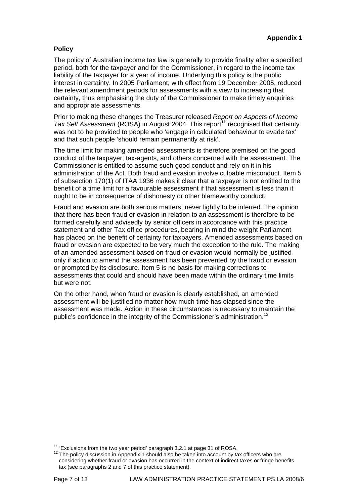## **Policy**

The policy of Australian income tax law is generally to provide finality after a specified period, both for the taxpayer and for the Commissioner, in regard to the income tax liability of the taxpayer for a year of income. Underlying this policy is the public interest in certainty. In 2005 Parliament, with effect from 19 December 2005, reduced the relevant amendment periods for assessments with a view to increasing that certainty, thus emphasising the duty of the Commissioner to make timely enquiries and appropriate assessments.

Prior to making these changes the Treasurer released *Report on Aspects of Income Tax Self Assessment* (ROSA) in August 2004. This report<sup>11</sup> recognised that certainty was not to be provided to people who 'engage in calculated behaviour to evade tax' and that such people 'should remain permanently at risk'.

The time limit for making amended assessments is therefore premised on the good conduct of the taxpayer, tax-agents, and others concerned with the assessment. The Commissioner is entitled to assume such good conduct and rely on it in his administration of the Act. Both fraud and evasion involve culpable misconduct. Item 5 of subsection 170(1) of ITAA 1936 makes it clear that a taxpayer is not entitled to the benefit of a time limit for a favourable assessment if that assessment is less than it ought to be in consequence of dishonesty or other blameworthy conduct.

Fraud and evasion are both serious matters, never lightly to be inferred. The opinion that there has been fraud or evasion in relation to an assessment is therefore to be formed carefully and advisedly by senior officers in accordance with this practice statement and other Tax office procedures, bearing in mind the weight Parliament has placed on the benefit of certainty for taxpayers. Amended assessments based on fraud or evasion are expected to be very much the exception to the rule. The making of an amended assessment based on fraud or evasion would normally be justified only if action to amend the assessment has been prevented by the fraud or evasion or prompted by its disclosure. Item 5 is no basis for making corrections to assessments that could and should have been made within the ordinary time limits but were not.

On the other hand, when fraud or evasion is clearly established, an amended assessment will be justified no matter how much time has elapsed since the assessment was made. Action in these circumstances is necessary to maintain the public's confidence in the integrity of the Commissioner's administration.<sup>[12](#page-7-1)</sup>

 $\overline{a}$ 

<span id="page-7-1"></span><span id="page-7-0"></span><sup>&</sup>lt;sup>11</sup> 'Exclusions from the two year period' paragraph 3.2.1 at page 31 of ROSA.<br><sup>12</sup> The policy discussion in Appendix 1 should also be taken into account by tax officers who are considering whether fraud or evasion has occurred in the context of indirect taxes or fringe benefits tax (see paragraphs 2 and 7 of this practice statement).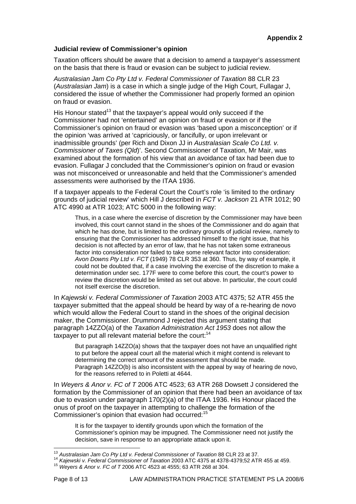#### **Judicial review of Commissioner's opinion**

Taxation officers should be aware that a decision to amend a taxpayer's assessment on the basis that there is fraud or evasion can be subject to judicial review.

*Australasian Jam Co Pty Ltd v. Federal Commissioner of Taxation* 88 CLR 23 (*Australasian Jam*) is a case in which a single judge of the High Court, Fullagar J, considered the issue of whether the Commissioner had properly formed an opinion on fraud or evasion.

His Honour stated<sup>13</sup> that the taxpayer's appeal would only succeed if the Commissioner had not 'entertained' an opinion on fraud or evasion or if the Commissioner's opinion on fraud or evasion was 'based upon a misconception' or if the opinion 'was arrived at 'capriciously, or fancifully, or upon irrelevant or inadmissible grounds' (per Rich and Dixon JJ in *Australasian Scale Co Ltd. v. Commissioner of Taxes (Qld*)'. Second Commissioner of Taxation, Mr Mair, was examined about the formation of his view that an avoidance of tax had been due to evasion. Fullagar J concluded that the Commissioner's opinion on fraud or evasion was not misconceived or unreasonable and held that the Commissioner's amended assessments were authorised by the ITAA 1936.

If a taxpayer appeals to the Federal Court the Court's role 'is limited to the ordinary grounds of judicial review' which Hill J described in *FCT v. Jackson* 21 ATR 1012; 90 ATC 4990 at ATR 1023; ATC 5000 in the following way:

Thus, in a case where the exercise of discretion by the Commissioner may have been involved, this court cannot stand in the shoes of the Commissioner and do again that which he has done, but is limited to the ordinary grounds of judicial review, namely to ensuring that the Commissioner has addressed himself to the right issue, that his decision is not affected by an error of law, that he has not taken some extraneous factor into consideration nor failed to take some relevant factor into consideration: *Avon Downs Pty Ltd v. FCT* (1949) 78 CLR 353 at 360. Thus, by way of example, it could not be doubted that, if a case involving the exercise of the discretion to make a determination under sec. 177F were to come before this court, the court's power to review the discretion would be limited as set out above. In particular, the court could not itself exercise the discretion.

In *Kajewski v. Federal Commissioner of Taxation* 2003 ATC 4375; 52 ATR 455 the taxpayer submitted that the appeal should be heard by way of a re-hearing de novo which would allow the Federal Court to stand in the shoes of the original decision maker, the Commissioner. Drummond J rejected this argument stating that paragraph 14ZZO(a) of the *Taxation Administration Act 1953* does not allow the taxpayer to put all relevant material before the court: $14$ 

But paragraph 14ZZO(a) shows that the taxpayer does not have an unqualified right to put before the appeal court all the material which it might contend is relevant to determining the correct amount of the assessment that should be made. Paragraph 14ZZO(b) is also inconsistent with the appeal by way of hearing de novo, for the reasons referred to in Poletti at 4644.

In *Weyers & Anor v. FC of T* 2006 ATC 4523; 63 ATR 268 Dowsett J considered the formation by the Commissioner of an opinion that there had been an avoidance of tax due to evasion under paragraph 170(2)(a) of the ITAA 1936. His Honour placed the onus of proof on the taxpayer in attempting to challenge the formation of the Commissioner's opinion that evasion had occurred:<sup>[15](#page-8-2)</sup>

It is for the taxpayer to identify grounds upon which the formation of the Commissioner's opinion may be impugned. The Commissioner need not justify the decision, save in response to an appropriate attack upon it.

<span id="page-8-0"></span><sup>&</sup>lt;sup>13</sup> Australasian Jam Co Pty Ltd v. Federal Commissioner of Taxation 88 CLR 23 at 37.

<span id="page-8-1"></span><sup>14</sup> Kajewski v. Federal Commissioner of Taxation 2003 ATC 4375 at 4378-4379;52 ATR 455 at 459.<br><sup>15</sup> Wevers & Anor v. FC of T 2006 ATC 4523 at 4555; 63 ATR 268 at 304.

<span id="page-8-2"></span>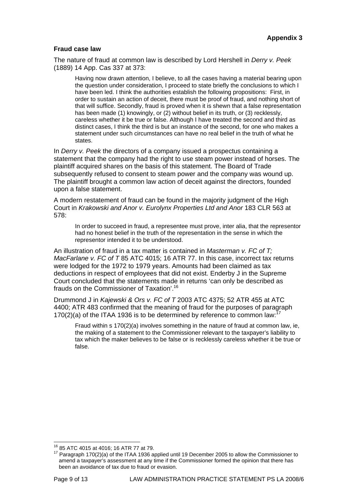## **Fraud case law**

The nature of fraud at common law is described by Lord Hershell in *Derry v. Peek* (1889) 14 App. Cas 337 at 373:

Having now drawn attention, I believe, to all the cases having a material bearing upon the question under consideration, I proceed to state briefly the conclusions to which I have been led. I think the authorities establish the following propositions: First, in order to sustain an action of deceit, there must be proof of fraud, and nothing short of that will suffice. Secondly, fraud is proved when it is shewn that a false representation has been made (1) knowingly, or (2) without belief in its truth, or (3) recklessly, careless whether it be true or false. Although I have treated the second and third as distinct cases, I think the third is but an instance of the second, for one who makes a statement under such circumstances can have no real belief in the truth of what he states.

In *Derry v. Peek* the directors of a company issued a prospectus containing a statement that the company had the right to use steam power instead of horses. The plaintiff acquired shares on the basis of this statement. The Board of Trade subsequently refused to consent to steam power and the company was wound up. The plaintiff brought a common law action of deceit against the directors, founded upon a false statement.

A modern restatement of fraud can be found in the majority judgment of the High Court in *Krakowski and Anor v. Eurolynx Properties Ltd and Anor* 183 CLR 563 at 578:

In order to succeed in fraud, a representee must prove, inter alia, that the representor had no honest belief in the truth of the representation in the sense in which the representor intended it to be understood.

An illustration of fraud in a tax matter is contained in *Masterman v. FC of T; MacFarlane v. FC of T* 85 ATC 4015; 16 ATR 77. In this case, incorrect tax returns were lodged for the 1972 to 1979 years. Amounts had been claimed as tax deductions in respect of employees that did not exist. Enderby J in the Supreme Court concluded that the statements made in returns 'can only be described as frauds on the Commissioner of Taxation'.[16](#page-9-0)

Drummond J in *Kajewski & Ors v. FC of T* 2003 ATC 4375; 52 ATR 455 at ATC 4400; ATR 483 confirmed that the meaning of fraud for the purposes of paragraph [17](#page-9-1)0(2)(a) of the ITAA 1936 is to be determined by reference to common law:

Fraud within s 170(2)(a) involves something in the nature of fraud at common law, ie, the making of a statement to the Commissioner relevant to the taxpayer's liability to tax which the maker believes to be false or is recklessly careless whether it be true or false.

<span id="page-9-0"></span><sup>&</sup>lt;sup>16</sup> 85 ATC 4015 at 4016; 16 ATR 77 at 79.

<span id="page-9-1"></span> $17$  Paragraph 170(2)(a) of the ITAA 1936 applied until 19 December 2005 to allow the Commissioner to amend a taxpayer's assessment at any time if the Commissioner formed the opinion that there has been an avoidance of tax due to fraud or evasion.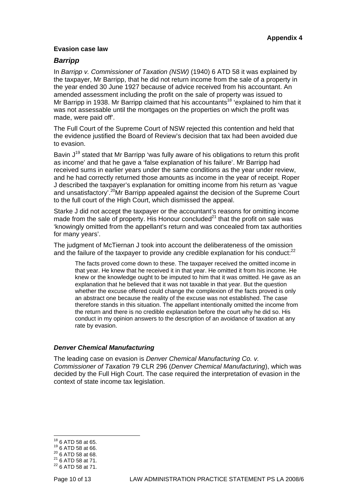#### **Evasion case law**

## *Barripp*

In *Barripp v. Commissioner of Taxation (NSW)* (1940) 6 ATD 58 it was explained by the taxpayer, Mr Barripp, that he did not return income from the sale of a property in the year ended 30 June 1927 because of advice received from his accountant. An amended assessment including the profit on the sale of property was issued to Mr Barripp in 1938. Mr Barripp claimed that his accountants<sup>18</sup> 'explained to him that it was not assessable until the mortgages on the properties on which the profit was made, were paid off'.

The Full Court of the Supreme Court of NSW rejected this contention and held that the evidence justified the Board of Review's decision that tax had been avoided due to evasion.

Bavin  $J^{19}$  stated that Mr Barripp 'was fully aware of his obligations to return this profit as income' and that he gave a 'false explanation of his failure'. Mr Barripp had received sums in earlier years under the same conditions as the year under review, and he had correctly returned those amounts as income in the year of receipt. Roper J described the taxpayer's explanation for omitting income from his return as 'vague and unsatisfactory<sup>'.20</sup>Mr Barripp appealed against the decision of the Supreme Court to the full court of the High Court, which dismissed the appeal.

Starke J did not accept the taxpayer or the accountant's reasons for omitting income made from the sale of property. His Honour concluded $^{21}$  that the profit on sale was 'knowingly omitted from the appellant's return and was concealed from tax authorities for many years'.

The judgment of McTiernan J took into account the deliberateness of the omission and the failure of the taxpayer to provide any credible explanation for his conduct:<sup>[22](#page-10-4)</sup>

The facts proved come down to these. The taxpayer received the omitted income in that year. He knew that he received it in that year. He omitted it from his income. He knew or the knowledge ought to be imputed to him that it was omitted. He gave as an explanation that he believed that it was not taxable in that year. But the question whether the excuse offered could change the complexion of the facts proved is only an abstract one because the reality of the excuse was not established. The case therefore stands in this situation. The appellant intentionally omitted the income from the return and there is no credible explanation before the court why he did so. His conduct in my opinion answers to the description of an avoidance of taxation at any rate by evasion.

#### *Denver Chemical Manufacturing*

The leading case on evasion is *Denver Chemical Manufacturing Co. v. Commissioner of Taxation* 79 CLR 296 (*Denver Chemical Manufacturing*), which was decided by the Full High Court. The case required the interpretation of evasion in the context of state income tax legislation.

<span id="page-10-0"></span> $18$  6 ATD 58 at 65.

<span id="page-10-1"></span>

<span id="page-10-4"></span><span id="page-10-3"></span><span id="page-10-2"></span>

<sup>&</sup>lt;sup>19</sup> 6 ATD 58 at 66.<br>
<sup>20</sup> 6 ATD 58 at 68.<br>
<sup>21</sup> 6 ATD 58 at 71.<br>
<sup>22</sup> 6 ATD 58 at 71.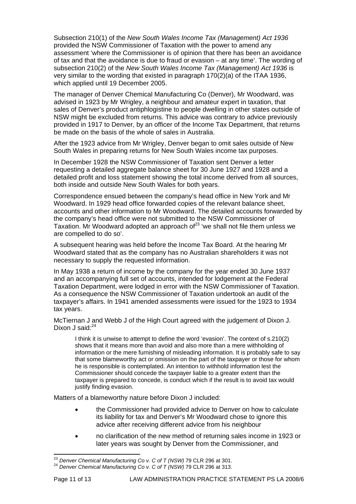Subsection 210(1) of the *New South Wales Income Tax (Management) Act 1936* provided the NSW Commissioner of Taxation with the power to amend any assessment 'where the Commissioner is of opinion that there has been an avoidance of tax and that the avoidance is due to fraud or evasion – at any time'. The wording of subsection 210(2) of the *New South Wales Income Tax (Management) Act 1936* is very similar to the wording that existed in paragraph 170(2)(a) of the ITAA 1936, which applied until 19 December 2005.

The manager of Denver Chemical Manufacturing Co (Denver), Mr Woodward, was advised in 1923 by Mr Wrigley, a neighbour and amateur expert in taxation, that sales of Denver's product antiphlogistine to people dwelling in other states outside of NSW might be excluded from returns. This advice was contrary to advice previously provided in 1917 to Denver, by an officer of the Income Tax Department, that returns be made on the basis of the whole of sales in Australia.

After the 1923 advice from Mr Wrigley, Denver began to omit sales outside of New South Wales in preparing returns for New South Wales income tax purposes.

In December 1928 the NSW Commissioner of Taxation sent Denver a letter requesting a detailed aggregate balance sheet for 30 June 1927 and 1928 and a detailed profit and loss statement showing the total income derived from all sources, both inside and outside New South Wales for both years.

Correspondence ensued between the company's head office in New York and Mr Woodward. In 1929 head office forwarded copies of the relevant balance sheet, accounts and other information to Mr Woodward. The detailed accounts forwarded by the company's head office were not submitted to the NSW Commissioner of Taxation. Mr Woodward adopted an approach of  $23$  'we shall not file them unless we are compelled to do so'.

A subsequent hearing was held before the Income Tax Board. At the hearing Mr Woodward stated that as the company has no Australian shareholders it was not necessary to supply the requested information.

In May 1938 a return of income by the company for the year ended 30 June 1937 and an accompanying full set of accounts, intended for lodgement at the Federal Taxation Department, were lodged in error with the NSW Commissioner of Taxation. As a consequence the NSW Commissioner of Taxation undertook an audit of the taxpayer's affairs. In 1941 amended assessments were issued for the 1923 to 1934 tax years.

McTiernan J and Webb J of the High Court agreed with the judgement of Dixon J. Dixon J said: $24$ 

I think it is unwise to attempt to define the word 'evasion'. The context of s.210(2) shows that it means more than avoid and also more than a mere withholding of information or the mere furnishing of misleading information. It is probably safe to say that some blameworthy act or omission on the part of the taxpayer or those for whom he is responsible is contemplated. An intention to withhold information lest the Commissioner should concede the taxpayer liable to a greater extent than the taxpayer is prepared to concede, is conduct which if the result is to avoid tax would justify finding evasion.

Matters of a blameworthy nature before Dixon J included:

- the Commissioner had provided advice to Denver on how to calculate its liability for tax and Denver's Mr Woodward chose to ignore this advice after receiving different advice from his neighbour
- no clarification of the new method of returning sales income in 1923 or later years was sought by Denver from the Commissioner, and

<span id="page-11-0"></span><sup>&</sup>lt;sup>23</sup> Denver Chemical Manufacturing Co v. C of T (NSW) 79 CLR 296 at 301.

<span id="page-11-1"></span><sup>&</sup>lt;sup>24</sup> Denver Chemical Manufacturing Co v. C of T (NSW) 79 CLR 296 at 313.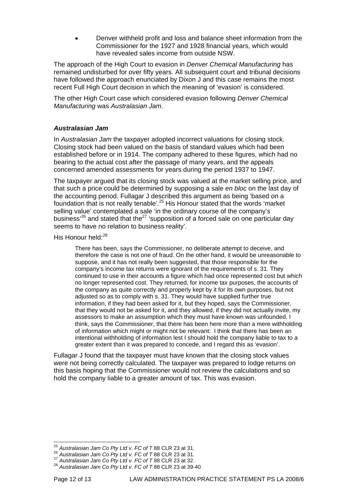• Denver withheld profit and loss and balance sheet information from the Commissioner for the 1927 and 1928 financial years, which would have revealed sales income from outside NSW.

The approach of the High Court to evasion in *Denver Chemical Manufacturing* has remained undisturbed for over fifty years. All subsequent court and tribunal decisions have followed the approach enunciated by Dixon J and this case remains the most recent Full High Court decision in which the meaning of 'evasion' is considered.

The other High Court case which considered evasion following *Denver Chemical Manufacturing* was *Australasian Jam*.

#### *Australasian Jam*

In *Australasian Jam* the taxpayer adopted incorrect valuations for closing stock. Closing stock had been valued on the basis of standard values which had been established before or in 1914. The company adhered to these figures, which had no bearing to the actual cost after the passage of many years, and the appeals concerned amended assessments for years during the period 1937 to 1947.

The taxpayer argued that its closing stock was valued at the market selling price, and that such a price could be determined by supposing a sale *en bloc* on the last day of the accounting period. Fullagar J described this argument as being 'based on a foundation that is not really tenable'.[25](#page-12-0) His Honour stated that the words 'market selling value' contemplated a sale 'in the ordinary course of the company's business<sup>'26</sup> and stated that the<sup>27</sup> 'supposition of a forced sale on one particular day seems to have no relation to business reality'.

His Honour held: $^{28}$  $^{28}$  $^{28}$ 

There has been, says the Commissioner, no deliberate attempt to deceive, and therefore the case is not one of fraud. On the other hand, it would be unreasonable to suppose, and it has not really been suggested, that those responsible for the company's income tax returns were ignorant of the requirements of s. 31. They continued to use in their accounts a figure which had once represented cost but which no longer represented cost. They returned, for income tax purposes, the accounts of the company as quite correctly and properly kept by it for its own purposes, but not adjusted so as to comply with s. 31. They would have supplied further true information, if they had been asked for it, but they hoped, says the Commissioner, that they would not be asked for it, and they allowed, if they did not actually invite, my assessors to make an assumption which they must have known was unfounded. I think, says the Commissioner, that there has been here more than a mere withholding of information which might or might not be relevant: I think that there has been an intentional withholding of information lest I should hold the company liable to tax to a greater extent than it was prepared to concede, and I regard this as 'evasion'.

Fullagar J found that the taxpayer must have known that the closing stock values were not being correctly calculated. The taxpayer was prepared to lodge returns on this basis hoping that the Commissioner would not review the calculations and so hold the company liable to a greater amount of tax. This was evasion.

<span id="page-12-0"></span> $^{25}$  Australasian Jam Co Pty Ltd v. FC of T 88 CLR 23 at 31.

<span id="page-12-2"></span><span id="page-12-1"></span>

<sup>&</sup>lt;sup>26</sup> Australasian Jam Co Pty Ltd v. FC of T 88 CLR 23 at 31.<br><sup>27</sup> Australasian Jam Co Pty Ltd v. FC of T 88 CLR 23 at 32.<br><sup>28</sup> Australasian Jam Co Pty Ltd v. FC of T 88 CLR 23 at 39-40

<span id="page-12-3"></span>